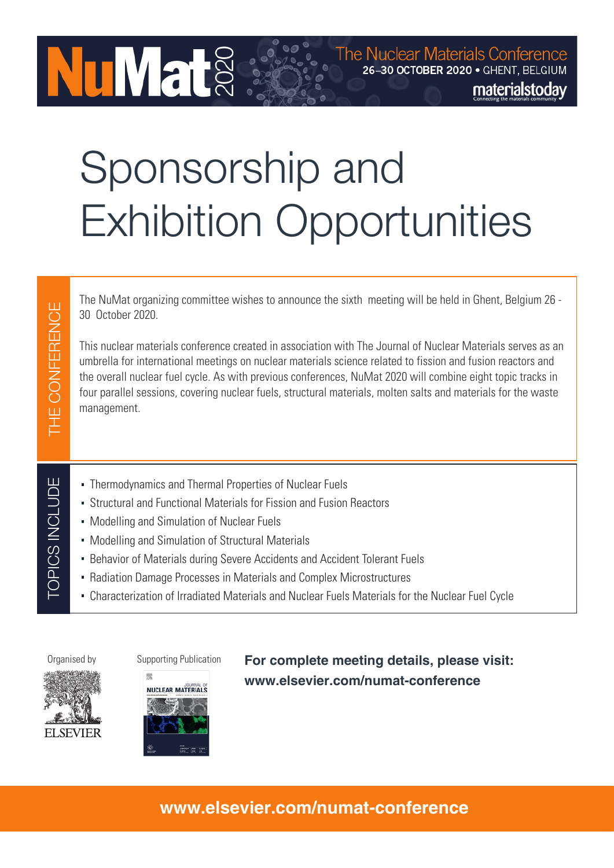# Sponsorship and Exhibition Opportunities

The NuMat organizing committee wishes to announce the sixth meeting will be held in Ghent, Belgium 26 - 30 October 2020.

This nuclear materials conference created in association with The Journal of Nuclear Materials serves as an umbrella for international meetings on nuclear materials science related to fission and fusion reactors and the overall nuclear fuel cycle. As with previous conferences, NuMat 2020 will combine eight topic tracks in four parallel sessions, covering nuclear fuels, structural materials, molten salts and materials for the waste management.

- Thermodynamics and Thermal Properties of Nuclear Fuels
- Structural and Functional Materials for Fission and Fusion Reactors
- Modelling and Simulation of Nuclear Fuels

**NuMat** 

- Modelling and Simulation of Structural Materials
- Behavior of Materials during Severe Accidents and Accident Tolerant Fuels
- Radiation Damage Processes in Materials and Complex Microstructures
- Characterization of Irradiated Materials and Nuclear Fuels Materials for the Nuclear Fuel Cycle

THE CONFERENCE

THE CONFERENCE

TOPICS INCLUDE

TOPICS INCLUDE







Organised by Supporting Publication **For complete meeting details, please visit: www.elsevier.com/numat-conference**

# **www.elsevier.com/numat-conference**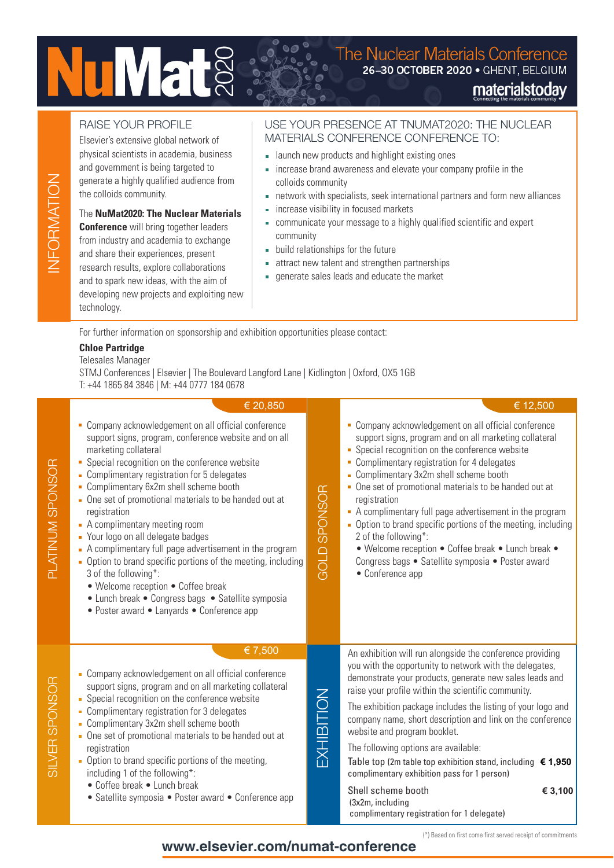# **NuMat**

# The Nuclear Materials Conference<br>26-30 OCTOBER 2020 . GHENT, BELGIUM materialstoday

# RAISE YOUR PROFILE

Elsevier's extensive global network of physical scientists in academia, business and government is being targeted to generate a highly qualified audience from the colloids community.

# The **NuMat2020: The Nuclear Materials**

**Conference** will bring together leaders from industry and academia to exchange and share their experiences, present research results, explore collaborations and to spark new ideas, with the aim of developing new projects and exploiting new technology.

# USE YOUR PRESENCE AT TNUMAT2020: THE NUCLEAR MATERIALS CONFERENCE CONFERENCE TO:

- **Example 1** aunch new products and highlight existing ones
- increase brand awareness and elevate your company profile in the colloids community
- network with specialists, seek international partners and form new alliances
- **increase visibility in focused markets**
- communicate your message to a highly qualified scientific and expert community
- build relationships for the future
- attract new talent and strengthen partnerships
- generate sales leads and educate the market

For further information on sponsorship and exhibition opportunities please contact:

# **Chloe Partridge**

## Telesales Manager

STMJ Conferences | Elsevier | The Boulevard Langford Lane | Kidlington | Oxford, OX5 1GB T: +44 1865 84 3846 | M: +44 0777 184 0678

|                    | € 20,850                                                                                                                                                                                                                                                                                                                                                                                                                                                                                                                                                                                                                                                                                                                                       |                     | € 12,500                                                                                                                                                                                                                                                                                                                                                                                                                                                                                                                                                                                                                                                        |
|--------------------|------------------------------------------------------------------------------------------------------------------------------------------------------------------------------------------------------------------------------------------------------------------------------------------------------------------------------------------------------------------------------------------------------------------------------------------------------------------------------------------------------------------------------------------------------------------------------------------------------------------------------------------------------------------------------------------------------------------------------------------------|---------------------|-----------------------------------------------------------------------------------------------------------------------------------------------------------------------------------------------------------------------------------------------------------------------------------------------------------------------------------------------------------------------------------------------------------------------------------------------------------------------------------------------------------------------------------------------------------------------------------------------------------------------------------------------------------------|
| PLATINUM SPONSOR   | Company acknowledgement on all official conference<br>٠<br>support signs, program, conference website and on all<br>marketing collateral<br>Special recognition on the conference website<br>ш<br>• Complimentary registration for 5 delegates<br>• Complimentary 6x2m shell scheme booth<br>• One set of promotional materials to be handed out at<br>registration<br>• A complimentary meeting room<br>• Your logo on all delegate badges<br>- A complimentary full page advertisement in the program<br>Option to brand specific portions of the meeting, including<br>m.<br>3 of the following*:<br>• Welcome reception • Coffee break<br>• Lunch break • Congress bags • Satellite symposia<br>• Poster award • Lanyards • Conference app | <b>GOLD SPONSOR</b> | • Company acknowledgement on all official conference<br>support signs, program and on all marketing collateral<br>• Special recognition on the conference website<br>• Complimentary registration for 4 delegates<br>• Complimentary 3x2m shell scheme booth<br>• One set of promotional materials to be handed out at<br>registration<br>A complimentary full page advertisement in the program<br>• Option to brand specific portions of the meeting, including<br>2 of the following*:<br>• Welcome reception • Coffee break • Lunch break •<br>Congress bags · Satellite symposia · Poster award<br>• Conference app                                        |
| ONSOR<br>SILVER SP | € 7,500<br>Company acknowledgement on all official conference<br>support signs, program and on all marketing collateral<br>Special recognition on the conference website<br>Complimentary registration for 3 delegates<br>• Complimentary 3x2m shell scheme booth<br>One set of promotional materials to be handed out at<br>registration<br>• Option to brand specific portions of the meeting,<br>including 1 of the following*:<br>• Coffee break • Lunch break<br>• Satellite symposia • Poster award • Conference app                                                                                                                                                                                                                     | EXHIBITION          | An exhibition will run alongside the conference providing<br>you with the opportunity to network with the delegates,<br>demonstrate your products, generate new sales leads and<br>raise your profile within the scientific community.<br>The exhibition package includes the listing of your logo and<br>company name, short description and link on the conference<br>website and program booklet.<br>The following options are available:<br>Table top (2m table top exhibition stand, including $€ 1,950$<br>complimentary exhibition pass for 1 person)<br>Shell scheme booth<br>€ 3,100<br>(3x2m, including<br>complimentary registration for 1 delegate) |

**www.elsevier.com/numat-conference**

(\*) Based on first come first served receipt of commitments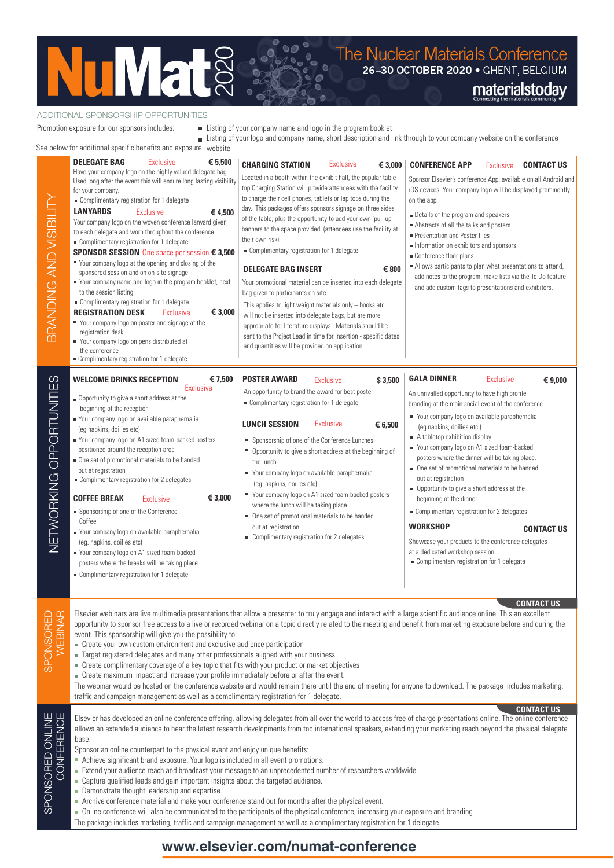

#### ADDITIONAL SPONSORSHIP OPPORTUNITIES

Promotion exposure for our sponsors includes:

■ Listing of your company name and logo in the program booklet

 $\ddot{\circ}$ 

Listing of your logo and company name, short description and link through to your company website on the conference

See below for additional specific benefits and

|                                                                                                                                                                                                                                                                                                                                                                                                                                                                                                                                                                                                                                                                                                                                                                                                                                                                                                                                                                                                                                                                                                                                                                                                                                                                                                                                                                                                                   | e below for additional specific benefits and exposure website                                                                                                                                                                                                                                                                                                                                                                                                                                                                                                                                                                                                                                                                                                                                                                                                                                                                                                                                         |                                                                                                                                                                                                                                                                                                                                                                                                                                                                                                                                                                                                                                                                                                                                                                                                                                                                                                                                                                           |                                                                                                                                                                                                                                                                                                                                                                                                                                                                                                                                                                                                                                                                                                                                                           |
|-------------------------------------------------------------------------------------------------------------------------------------------------------------------------------------------------------------------------------------------------------------------------------------------------------------------------------------------------------------------------------------------------------------------------------------------------------------------------------------------------------------------------------------------------------------------------------------------------------------------------------------------------------------------------------------------------------------------------------------------------------------------------------------------------------------------------------------------------------------------------------------------------------------------------------------------------------------------------------------------------------------------------------------------------------------------------------------------------------------------------------------------------------------------------------------------------------------------------------------------------------------------------------------------------------------------------------------------------------------------------------------------------------------------|-------------------------------------------------------------------------------------------------------------------------------------------------------------------------------------------------------------------------------------------------------------------------------------------------------------------------------------------------------------------------------------------------------------------------------------------------------------------------------------------------------------------------------------------------------------------------------------------------------------------------------------------------------------------------------------------------------------------------------------------------------------------------------------------------------------------------------------------------------------------------------------------------------------------------------------------------------------------------------------------------------|---------------------------------------------------------------------------------------------------------------------------------------------------------------------------------------------------------------------------------------------------------------------------------------------------------------------------------------------------------------------------------------------------------------------------------------------------------------------------------------------------------------------------------------------------------------------------------------------------------------------------------------------------------------------------------------------------------------------------------------------------------------------------------------------------------------------------------------------------------------------------------------------------------------------------------------------------------------------------|-----------------------------------------------------------------------------------------------------------------------------------------------------------------------------------------------------------------------------------------------------------------------------------------------------------------------------------------------------------------------------------------------------------------------------------------------------------------------------------------------------------------------------------------------------------------------------------------------------------------------------------------------------------------------------------------------------------------------------------------------------------|
| BRANDING AND VISIBILITY                                                                                                                                                                                                                                                                                                                                                                                                                                                                                                                                                                                                                                                                                                                                                                                                                                                                                                                                                                                                                                                                                                                                                                                                                                                                                                                                                                                           | <b>DELEGATE BAG</b><br>€ 5,500<br><b>Exclusive</b><br>Have your company logo on the highly valued delegate bag.<br>Used long after the event this will ensure long lasting visibility<br>for your company.<br>Complimentary registration for 1 delegate<br><b>LANYARDS</b><br>Exclusive<br>€ 4,500<br>Your company logo on the woven conference lanyard given<br>to each delegate and worn throughout the conference.<br>Complimentary registration for 1 delegate<br>SPONSOR SESSION One space per session € 3,500<br>Your company logo at the opening and closing of the<br>sponsored session and on on-site signage<br>Your company name and logo in the program booklet, next<br>to the session listing<br>Complimentary registration for 1 delegate<br><b>REGISTRATION DESK</b><br>€ 3,000<br><b>Exclusive</b><br>Your company logo on poster and signage at the<br>registration desk<br>Your company logo on pens distributed at<br>the conference<br>Complimentary registration for 1 delegate | <b>Exclusive</b><br><b>CHARGING STATION</b><br>€ 3,000<br>Located in a booth within the exhibit hall, the popular table<br>top Charging Station will provide attendees with the facility<br>to charge their cell phones, tablets or lap tops during the<br>day. This packages offers sponsors signage on three sides<br>of the table, plus the opportunity to add your own 'pull up<br>banners to the space provided. (attendees use the facility at<br>their own risk).<br>Complimentary registration for 1 delegate<br><b>DELEGATE BAG INSERT</b><br>€ 800<br>Your promotional material can be inserted into each delegate<br>bag given to participants on site.<br>This applies to light weight materials only - books etc.<br>will not be inserted into delegate bags, but are more<br>appropriate for literature displays. Materials should be<br>sent to the Project Lead in time for insertion - specific dates<br>and quantities will be provided on application. | <b>CONFERENCE APP</b><br><b>CONTACT US</b><br><b>Exclusive</b><br>Sponsor Elsevier's conference App, available on all Android and<br>iOS devices. Your company logo will be displayed prominently<br>on the app.<br>Details of the program and speakers<br>Abstracts of all the talks and posters<br>Presentation and Poster files<br>Information on exhibitors and sponsors<br>Conference floor plans<br>Allows participants to plan what presentations to attend,<br>add notes to the program, make lists via the To Do feature<br>and add custom tags to presentations and exhibitors.                                                                                                                                                                 |
| <b>WELCOME DRINKS RECEPTION</b><br>NETWORKING OPPORTUNITIES<br>€ 7,500<br><b>POSTER AWARD</b><br><b>Exclusive</b><br>Exclusive<br>An opportunity to brand the award for best poster<br>Opportunity to give a short address at the<br>Complimentary registration for 1 delegate<br>beginning of the reception<br>Your company logo on available paraphernalia<br><b>LUNCH SESSION</b><br>Exclusive<br>(eg napkins, doilies etc)<br>■ Your company logo on A1 sized foam-backed posters<br>Sponsorship of one of the Conference Lunches<br>positioned around the reception area<br>" Opportunity to give a short address at the beginning of<br>One set of promotional materials to be handed<br>the lunch<br>out at registration<br>Your company logo on available paraphernalia<br>Complimentary registration for 2 delegates<br>(eg. napkins, doilies etc)<br>Your company logo on A1 sized foam-backed posters<br><b>COFFEE BREAK</b><br>€ 3,000<br><b>Exclusive</b><br>where the lunch will be taking place<br>Sponsorship of one of the Conference<br>One set of promotional materials to be handed<br>Coffee<br>out at registration<br>• Your company logo on available paraphernalia<br>Complimentary registration for 2 delegates<br>(eg. napkins, doilies etc)<br>Your company logo on A1 sized foam-backed<br>posters where the breaks will be taking place<br>Complimentary registration for 1 delegate |                                                                                                                                                                                                                                                                                                                                                                                                                                                                                                                                                                                                                                                                                                                                                                                                                                                                                                                                                                                                       |                                                                                                                                                                                                                                                                                                                                                                                                                                                                                                                                                                                                                                                                                                                                                                                                                                                                                                                                                                           | <b>GALA DINNER</b><br><b>Exclusive</b><br>€ 9,000<br>An unrivalled opportunity to have high profile<br>branding at the main social event of the conference.<br>Your company logo on available paraphernalia<br>(eg napkins, doilies etc.)<br>A tabletop exhibition display<br>Your company logo on A1 sized foam-backed<br>posters where the dinner will be taking place.<br>One set of promotional materials to be handed<br>out at registration<br>• Opportunity to give a short address at the<br>beginning of the dinner<br>Complimentary registration for 2 delegates<br><b>WORKSHOP</b><br><b>CONTACT US</b><br>Showcase your products to the conference delegates<br>at a dedicated workshop session.<br>Complimentary registration for 1 delegate |
| SPONSORED<br>WEBINAR                                                                                                                                                                                                                                                                                                                                                                                                                                                                                                                                                                                                                                                                                                                                                                                                                                                                                                                                                                                                                                                                                                                                                                                                                                                                                                                                                                                              | event. This sponsorship will give you the possibility to:<br>- Create your own custom environment and exclusive audience participation<br>Target registered delegates and many other professionals aligned with your business<br>• Create complimentary coverage of a key topic that fits with your product or market objectives<br>- Create maximum impact and increase your profile immediately before or after the event.<br>traffic and campaign management as well as a complimentary registration for 1 delegate.                                                                                                                                                                                                                                                                                                                                                                                                                                                                               | Elsevier webinars are live multimedia presentations that allow a presenter to truly engage and interact with a large scientific audience online. This an excellent<br>opportunity to sponsor free access to a live or recorded webinar on a topic directly related to the meeting and benefit from marketing exposure before and during the<br>The webinar would be hosted on the conference website and would remain there until the end of meeting for anyone to download. The package includes marketing,                                                                                                                                                                                                                                                                                                                                                                                                                                                              | <b>CONTACT US</b>                                                                                                                                                                                                                                                                                                                                                                                                                                                                                                                                                                                                                                                                                                                                         |
| SPONSORED ONLINE<br>CONFERENCE                                                                                                                                                                                                                                                                                                                                                                                                                                                                                                                                                                                                                                                                                                                                                                                                                                                                                                                                                                                                                                                                                                                                                                                                                                                                                                                                                                                    | base.<br>Sponsor an online counterpart to the physical event and enjoy unique benefits:<br>Achieve significant brand exposure. Your logo is included in all event promotions.<br>- Capture qualified leads and gain important insights about the targeted audience.<br>- Demonstrate thought leadership and expertise.<br>- Archive conference material and make your conference stand out for months after the physical event.                                                                                                                                                                                                                                                                                                                                                                                                                                                                                                                                                                       | Elsevier has developed an online conference offering, allowing delegates from all over the world to access free of charge presentations online. The online conference<br>allows an extended audience to hear the latest research developments from top international speakers, extending your marketing reach beyond the physical delegate<br>Extend your audience reach and broadcast your message to an unprecedented number of researchers worldwide.<br>Online conference will also be communicated to the participants of the physical conference, increasing your exposure and branding                                                                                                                                                                                                                                                                                                                                                                             | <b>CONTACT US</b>                                                                                                                                                                                                                                                                                                                                                                                                                                                                                                                                                                                                                                                                                                                                         |

- Capture qualified leads and gain important insights about the targeted audience.
- **Demonstrate thought leadership and expertise.**

**SPONSC** 

Online conference will also be communicated to the participants of the physical conference, increasing your exposure and branding.

The package includes marketing, traffic and campaign management as well as a complimentary registration for 1 delegate.

# **www.elsevier.com/numat-conference**

Archive conference material and make your conference stand out for months after the physical event.